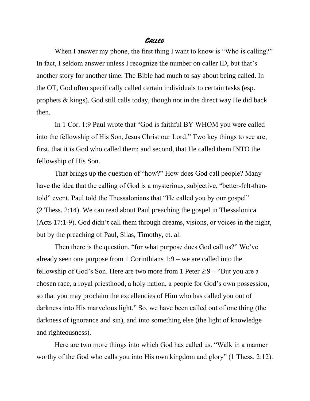## **Called**

When I answer my phone, the first thing I want to know is "Who is calling?" In fact, I seldom answer unless I recognize the number on caller ID, but that's another story for another time. The Bible had much to say about being called. In the OT, God often specifically called certain individuals to certain tasks (esp. prophets & kings). God still calls today, though not in the direct way He did back then.

In 1 Cor. 1:9 Paul wrote that "God is faithful BY WHOM you were called into the fellowship of His Son, Jesus Christ our Lord." Two key things to see are, first, that it is God who called them; and second, that He called them INTO the fellowship of His Son.

That brings up the question of "how?" How does God call people? Many have the idea that the calling of God is a mysterious, subjective, "better-felt-thantold" event. Paul told the Thessalonians that "He called you by our gospel" (2 Thess. 2:14). We can read about Paul preaching the gospel in Thessalonica (Acts 17:1-9). God didn't call them through dreams, visions, or voices in the night, but by the preaching of Paul, Silas, Timothy, et. al.

Then there is the question, "for what purpose does God call us?" We've already seen one purpose from 1 Corinthians 1:9 – we are called into the fellowship of God's Son. Here are two more from 1 Peter 2:9 – "But you are a chosen race, a royal priesthood, a holy nation, a people for God's own possession, so that you may proclaim the excellencies of Him who has called you out of darkness into His marvelous light." So, we have been called out of one thing (the darkness of ignorance and sin), and into something else (the light of knowledge and righteousness).

Here are two more things into which God has called us. "Walk in a manner worthy of the God who calls you into His own kingdom and glory" (1 Thess. 2:12).